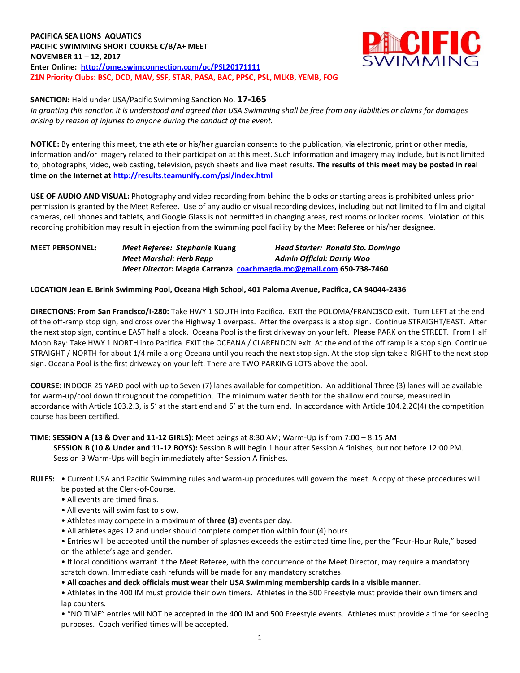**PACIFICA SEA LIONS AQUATICS PACIFIC SWIMMING SHORT COURSE C/B/A+ MEET NOVEMBER 11 – 12, 2017 Enter Online: <http://ome.swimconnection.com/pc/PSL20171111> Z1N Priority Clubs: BSC, DCD, MAV, SSF, STAR, PASA, BAC, PPSC, PSL, MLKB, YEMB, FOG**



**SANCTION:** Held under USA/Pacific Swimming Sanction No. **17-165**

*In granting this sanction it is understood and agreed that USA Swimming shall be free from any liabilities or claims for damages arising by reason of injuries to anyone during the conduct of the event.*

**NOTICE:** By entering this meet, the athlete or his/her guardian consents to the publication, via electronic, print or other media, information and/or imagery related to their participation at this meet. Such information and imagery may include, but is not limited to, photographs, video, web casting, television, psych sheets and live meet results. **The results of this meet may be posted in real time on the Internet a[t http://results.teamunify.com/psl/index.html](http://results.teamunify.com/psl/index.html)**

**USE OF AUDIO AND VISUAL:** Photography and video recording from behind the blocks or starting areas is prohibited unless prior permission is granted by the Meet Referee. Use of any audio or visual recording devices, including but not limited to film and digital cameras, cell phones and tablets, and Google Glass is not permitted in changing areas, rest rooms or locker rooms. Violation of this recording prohibition may result in ejection from the swimming pool facility by the Meet Referee or his/her designee.

**MEET PERSONNEL:** *Meet Referee: Stephanie* **Kuang** *Head Starter: Ronald Sto. Domingo Meet Marshal: Herb Repp Admin Official: Darrly Woo Meet Director:* **Magda Carranza [coachmagda.mc@gmail.com](mailto:coachmagda.mc@gmail.com) 650-738-7460**

## **LOCATION Jean E. Brink Swimming Pool, Oceana High School, 401 Paloma Avenue, Pacifica, CA 94044-2436**

**DIRECTIONS: From San Francisco/I-280:** Take HWY 1 SOUTH into Pacifica. EXIT the POLOMA/FRANCISCO exit. Turn LEFT at the end of the off-ramp stop sign, and cross over the Highway 1 overpass. After the overpass is a stop sign. Continue STRAIGHT/EAST. After the next stop sign, continue EAST half a block. Oceana Pool is the first driveway on your left. Please PARK on the STREET. From Half Moon Bay: Take HWY 1 NORTH into Pacifica. EXIT the OCEANA / CLARENDON exit. At the end of the off ramp is a stop sign. Continue STRAIGHT / NORTH for about 1/4 mile along Oceana until you reach the next stop sign. At the stop sign take a RIGHT to the next stop sign. Oceana Pool is the first driveway on your left. There are TWO PARKING LOTS above the pool.

**COURSE:** INDOOR 25 YARD pool with up to Seven (7) lanes available for competition. An additional Three (3) lanes will be available for warm-up/cool down throughout the competition. The minimum water depth for the shallow end course, measured in accordance with Article 103.2.3, is 5' at the start end and 5' at the turn end. In accordance with Article 104.2.2C(4) the competition course has been certified.

## **TIME: SESSION A (13 & Over and 11-12 GIRLS):** Meet beings at 8:30 AM; Warm-Up is from 7:00 – 8:15 AM **SESSION B (10 & Under and 11-12 BOYS):** Session B will begin 1 hour after Session A finishes, but not before 12:00 PM. Session B Warm-Ups will begin immediately after Session A finishes.

- **RULES:** Current USA and Pacific Swimming rules and warm-up procedures will govern the meet. A copy of these procedures will be posted at the Clerk-of-Course.
	- All events are timed finals.
	- All events will swim fast to slow.
	- Athletes may compete in a maximum of **three (3)** events per day.
	- All athletes ages 12 and under should complete competition within four (4) hours.
	- Entries will be accepted until the number of splashes exceeds the estimated time line, per the "Four-Hour Rule," based on the athlete's age and gender.

• If local conditions warrant it the Meet Referee, with the concurrence of the Meet Director, may require a mandatory scratch down. Immediate cash refunds will be made for any mandatory scratches.

• **All coaches and deck officials must wear their USA Swimming membership cards in a visible manner.** 

• Athletes in the 400 IM must provide their own timers. Athletes in the 500 Freestyle must provide their own timers and lap counters.

• "NO TIME" entries will NOT be accepted in the 400 IM and 500 Freestyle events. Athletes must provide a time for seeding purposes. Coach verified times will be accepted.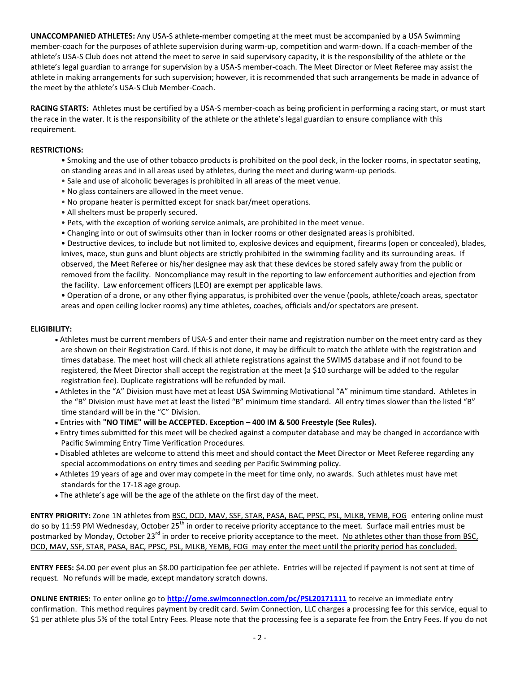**UNACCOMPANIED ATHLETES:** Any USA-S athlete-member competing at the meet must be accompanied by a USA Swimming member-coach for the purposes of athlete supervision during warm-up, competition and warm-down. If a coach-member of the athlete's USA-S Club does not attend the meet to serve in said supervisory capacity, it is the responsibility of the athlete or the athlete's legal guardian to arrange for supervision by a USA-S member-coach. The Meet Director or Meet Referee may assist the athlete in making arrangements for such supervision; however, it is recommended that such arrangements be made in advance of the meet by the athlete's USA-S Club Member-Coach.

**RACING STARTS:** Athletes must be certified by a USA-S member-coach as being proficient in performing a racing start, or must start the race in the water. It is the responsibility of the athlete or the athlete's legal guardian to ensure compliance with this requirement.

### **RESTRICTIONS:**

- Smoking and the use of other tobacco products is prohibited on the pool deck, in the locker rooms, in spectator seating, on standing areas and in all areas used by athletes, during the meet and during warm-up periods.
- Sale and use of alcoholic beverages is prohibited in all areas of the meet venue.
- No glass containers are allowed in the meet venue.
- No propane heater is permitted except for snack bar/meet operations.
- All shelters must be properly secured.
- Pets, with the exception of working service animals, are prohibited in the meet venue.
- Changing into or out of swimsuits other than in locker rooms or other designated areas is prohibited.

• Destructive devices, to include but not limited to, explosive devices and equipment, firearms (open or concealed), blades, knives, mace, stun guns and blunt objects are strictly prohibited in the swimming facility and its surrounding areas. If observed, the Meet Referee or his/her designee may ask that these devices be stored safely away from the public or removed from the facility. Noncompliance may result in the reporting to law enforcement authorities and ejection from the facility. Law enforcement officers (LEO) are exempt per applicable laws.

• Operation of a drone, or any other flying apparatus, is prohibited over the venue (pools, athlete/coach areas, spectator areas and open ceiling locker rooms) any time athletes, coaches, officials and/or spectators are present.

#### **ELIGIBILITY:**

- Athletes must be current members of USA-S and enter their name and registration number on the meet entry card as they are shown on their Registration Card. If this is not done, it may be difficult to match the athlete with the registration and times database. The meet host will check all athlete registrations against the SWIMS database and if not found to be registered, the Meet Director shall accept the registration at the meet (a \$10 surcharge will be added to the regular registration fee). Duplicate registrations will be refunded by mail.
- Athletes in the "A" Division must have met at least USA Swimming Motivational "A" minimum time standard. Athletes in the "B" Division must have met at least the listed "B" minimum time standard. All entry times slower than the listed "B" time standard will be in the "C" Division.
- Entries with **"NO TIME" will be ACCEPTED. Exception – 400 IM & 500 Freestyle (See Rules).**
- Entry times submitted for this meet will be checked against a computer database and may be changed in accordance with Pacific Swimming Entry Time Verification Procedures.
- Disabled athletes are welcome to attend this meet and should contact the Meet Director or Meet Referee regarding any special accommodations on entry times and seeding per Pacific Swimming policy.
- Athletes 19 years of age and over may compete in the meet for time only, no awards. Such athletes must have met standards for the 17-18 age group.
- The athlete's age will be the age of the athlete on the first day of the meet.

**ENTRY PRIORITY:** Zone 1N athletes from BSC, DCD, MAV, SSF, STAR, PASA, BAC, PPSC, PSL, MLKB, YEMB, FOG entering online must do so by 11:59 PM Wednesday, October 25<sup>th</sup> in order to receive priority acceptance to the meet. Surface mail entries must be postmarked by Monday, October 23<sup>rd</sup> in order to receive priority acceptance to the meet. No athletes other than those from BSC, DCD, MAV, SSF, STAR, PASA, BAC, PPSC, PSL, MLKB, YEMB, FOG may enter the meet until the priority period has concluded.

**ENTRY FEES:** \$4.00 per event plus an \$8.00 participation fee per athlete. Entries will be rejected if payment is not sent at time of request. No refunds will be made, except mandatory scratch downs.

**ONLINE ENTRIES:** To enter online go to **<http://ome.swimconnection.com/pc/PSL20171111>** to receive an immediate entry confirmation. This method requires payment by credit card. Swim Connection, LLC charges a processing fee for this service, equal to \$1 per athlete plus 5% of the total Entry Fees. Please note that the processing fee is a separate fee from the Entry Fees. If you do not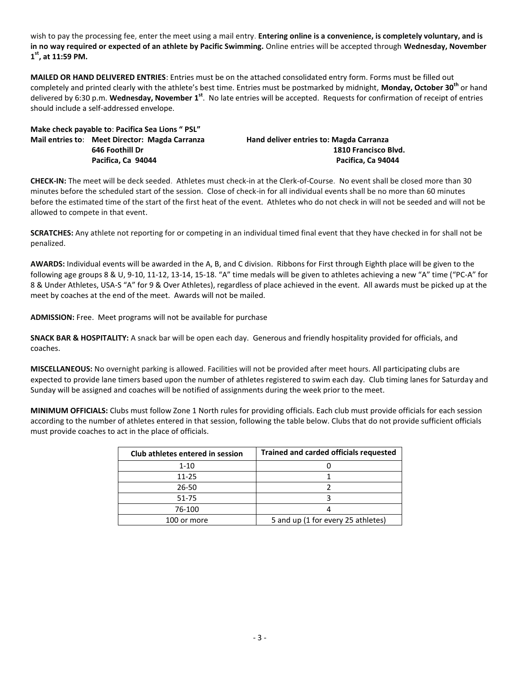wish to pay the processing fee, enter the meet using a mail entry. **Entering online is a convenience, is completely voluntary, and is in no way required or expected of an athlete by Pacific Swimming.** Online entries will be accepted through **Wednesday, November 1 st , at 11:59 PM.**

**MAILED OR HAND DELIVERED ENTRIES**: Entries must be on the attached consolidated entry form. Forms must be filled out completely and printed clearly with the athlete's best time. Entries must be postmarked by midnight, **Monday, October 30th** or hand delivered by 6:30 p.m. Wednesday, November 1<sup>st</sup>. No late entries will be accepted. Requests for confirmation of receipt of entries should include a self-addressed envelope.

**Make check payable to**: **Pacifica Sea Lions " PSL" Mail entries to**: **Meet Director: Magda Carranza Hand deliver entries to: Magda Carranza**

**646 Foothill Dr 1810 Francisco Blvd. Pacifica, Ca 94044 Pacifica, Ca 94044**

**CHECK-IN:** The meet will be deck seeded. Athletes must check-in at the Clerk-of-Course. No event shall be closed more than 30 minutes before the scheduled start of the session. Close of check-in for all individual events shall be no more than 60 minutes before the estimated time of the start of the first heat of the event. Athletes who do not check in will not be seeded and will not be allowed to compete in that event.

**SCRATCHES:** Any athlete not reporting for or competing in an individual timed final event that they have checked in for shall not be penalized.

**AWARDS:** Individual events will be awarded in the A, B, and C division. Ribbons for First through Eighth place will be given to the following age groups 8 & U, 9-10, 11-12, 13-14, 15-18. "A" time medals will be given to athletes achieving a new "A" time ("PC-A" for 8 & Under Athletes, USA-S "A" for 9 & Over Athletes), regardless of place achieved in the event. All awards must be picked up at the meet by coaches at the end of the meet. Awards will not be mailed.

**ADMISSION:** Free. Meet programs will not be available for purchase

**SNACK BAR & HOSPITALITY:** A snack bar will be open each day. Generous and friendly hospitality provided for officials, and coaches.

**MISCELLANEOUS:** No overnight parking is allowed. Facilities will not be provided after meet hours. All participating clubs are expected to provide lane timers based upon the number of athletes registered to swim each day. Club timing lanes for Saturday and Sunday will be assigned and coaches will be notified of assignments during the week prior to the meet.

**MINIMUM OFFICIALS:** Clubs must follow Zone 1 North rules for providing officials. Each club must provide officials for each session according to the number of athletes entered in that session, following the table below. Clubs that do not provide sufficient officials must provide coaches to act in the place of officials.

| Club athletes entered in session | <b>Trained and carded officials requested</b> |
|----------------------------------|-----------------------------------------------|
| $1 - 10$                         |                                               |
| 11-25                            |                                               |
| 26-50                            |                                               |
| 51-75                            |                                               |
| 76-100                           |                                               |
| 100 or more                      | 5 and up (1 for every 25 athletes)            |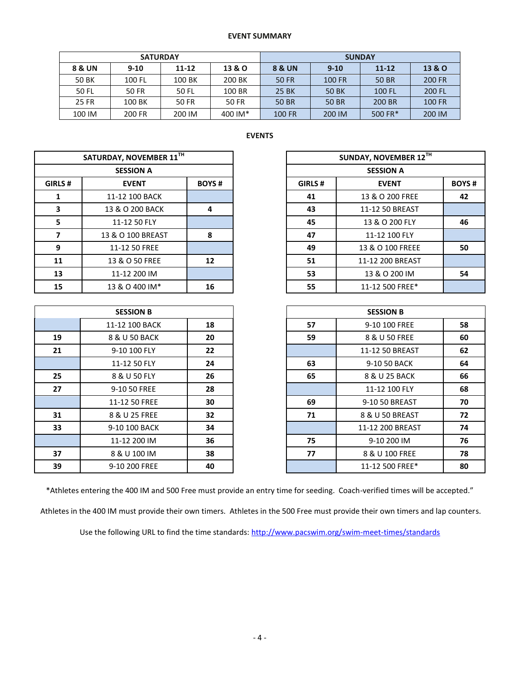#### **EVENT SUMMARY**

|        | <b>SATURDAY</b> |                     |         | <b>SUNDAY</b> |          |           |        |  |
|--------|-----------------|---------------------|---------|---------------|----------|-----------|--------|--|
| 8 & UN | $9 - 10$        | 13 & O<br>$11 - 12$ |         | 8 & UN        | $9 - 10$ | $11 - 12$ | 13 & O |  |
| 50 BK  | 100 FL          | 100 BK              | 200 BK  | 50 FR         | 100 FR   | 50 BR     | 200 FR |  |
| 50 FL  | 50 FR           | 50 FL               | 100 BR  | 25 BK         | 50 BK    | 100 FL    | 200 FL |  |
| 25 FR  | 100 BK          | 50 FR               | 50 FR   | 50 BR         | 50 BR    | 200 BR    | 100 FR |  |
| 100 IM | 200 FR          | 200 IM              | 400 IM* | <b>100 FR</b> | 200 IM   | 500 FR*   | 200 IM |  |

# **EVENTS**

| SATURDAY, NOVEMBER 11TH |                   |              |                  | <b>SUNDAY, NOVEMBER 1</b> |
|-------------------------|-------------------|--------------|------------------|---------------------------|
|                         | <b>SESSION A</b>  |              | <b>SESSION A</b> |                           |
| GIRLS#                  | <b>EVENT</b>      | <b>BOYS#</b> | GIRLS#           | <b>EVENT</b>              |
| 1                       | 11-12 100 BACK    |              | 41               | 13 & O 200 FREE           |
| 3                       | 13 & O 200 BACK   | 4            | 43               | 11-12 50 BREAST           |
| 5                       | 11-12 50 FLY      |              | 45               | 13 & O 200 FLY            |
| 7                       | 13 & O 100 BREAST | 8            | 47               | 11-12 100 FLY             |
| 9                       | 11-12 50 FREE     |              | 49               | 13 & O 100 FREEE          |
| 11                      | 13 & O 50 FREE    | 12           | 51               | 11-12 200 BREAST          |
| 13                      | 11-12 200 IM      |              | 53               | 13 & O 200 IM             |
| 15                      | 13 & O 400 IM*    | 16           | 55               | 11-12 500 FREE*           |

| <b>SESSION B</b> |                |    |  |  |  |  |  |
|------------------|----------------|----|--|--|--|--|--|
|                  | 11-12 100 BACK | 18 |  |  |  |  |  |
| 19               | 8 & U 50 BACK  | 20 |  |  |  |  |  |
| 21               | 9-10 100 FLY   | 22 |  |  |  |  |  |
|                  | 11-12 50 FLY   | 24 |  |  |  |  |  |
| 25               | 8 & U 50 FLY   | 26 |  |  |  |  |  |
| 27               | 9-10 50 FREE   | 28 |  |  |  |  |  |
|                  | 11-12 50 FREE  | 30 |  |  |  |  |  |
| 31               | 8 & U 25 FREE  | 32 |  |  |  |  |  |
| 33               | 9-10 100 BACK  | 34 |  |  |  |  |  |
|                  | 11-12 200 IM   | 36 |  |  |  |  |  |
| 37               | 8 & U 100 IM   | 38 |  |  |  |  |  |
| 39               | 9-10 200 FREE  | 40 |  |  |  |  |  |

|         | SATURDAY, NOVEMBER 11TH |              | SUNDAY, NOVEMBER 12TH |                  |              |
|---------|-------------------------|--------------|-----------------------|------------------|--------------|
|         | <b>SESSION A</b>        |              | <b>SESSION A</b>      |                  |              |
| GIRLS # | <b>EVENT</b>            | <b>BOYS#</b> | GIRLS#                | <b>EVENT</b>     | <b>BOYS#</b> |
|         | 11-12 100 BACK          |              | 41                    | 13 & O 200 FREE  | 42           |
| 3       | 13 & O 200 BACK         | 4            | 43                    | 11-12 50 BREAST  |              |
| 5.      | 11-12 50 FLY            |              | 45                    | 13 & O 200 FLY   | 46           |
|         | 13 & O 100 BREAST       | 8            | 47                    | 11-12 100 FLY    |              |
| 9       | 11-12 50 FREE           |              | 49                    | 13 & O 100 FREEE | 50           |
| 11      | 13 & O 50 FREE          | 12           | 51                    | 11-12 200 BREAST |              |
| 13      | 11-12 200 IM            |              | 53                    | 13 & O 200 IM    | 54           |
| 15      | 13 & O 400 IM*          | 16           | 55                    | 11-12 500 FREE*  |              |

|    | <b>SESSION B</b> |    |    | <b>SESSION B</b> |    |
|----|------------------|----|----|------------------|----|
|    | 11-12 100 BACK   | 18 | 57 | 9-10 100 FREE    | 58 |
| 19 | 8 & U 50 BACK    | 20 | 59 | 8 & U 50 FREE    | 60 |
| 21 | 9-10 100 FLY     | 22 |    | 11-12 50 BREAST  | 62 |
|    | 11-12 50 FLY     | 24 | 63 | 9-10 50 BACK     | 64 |
| 25 | 8 & U 50 FLY     | 26 | 65 | 8 & U 25 BACK    | 66 |
| 27 | 9-10 50 FREE     | 28 |    | 11-12 100 FLY    | 68 |
|    | 11-12 50 FREE    | 30 | 69 | 9-10 50 BREAST   | 70 |
| 31 | 8 & U 25 FREE    | 32 | 71 | 8 & U 50 BREAST  | 72 |
| 33 | 9-10 100 BACK    | 34 |    | 11-12 200 BREAST | 74 |
|    | 11-12 200 IM     | 36 | 75 | 9-10 200 IM      | 76 |
| 37 | 8 & U 100 IM     | 38 | 77 | 8 & U 100 FREE   | 78 |
| 39 | 9-10 200 FREE    | 40 |    | 11-12 500 FREE*  | 80 |

\*Athletes entering the 400 IM and 500 Free must provide an entry time for seeding. Coach-verified times will be accepted."

Athletes in the 400 IM must provide their own timers. Athletes in the 500 Free must provide their own timers and lap counters.

Use the following URL to find the time standards: <http://www.pacswim.org/swim-meet-times/standards>